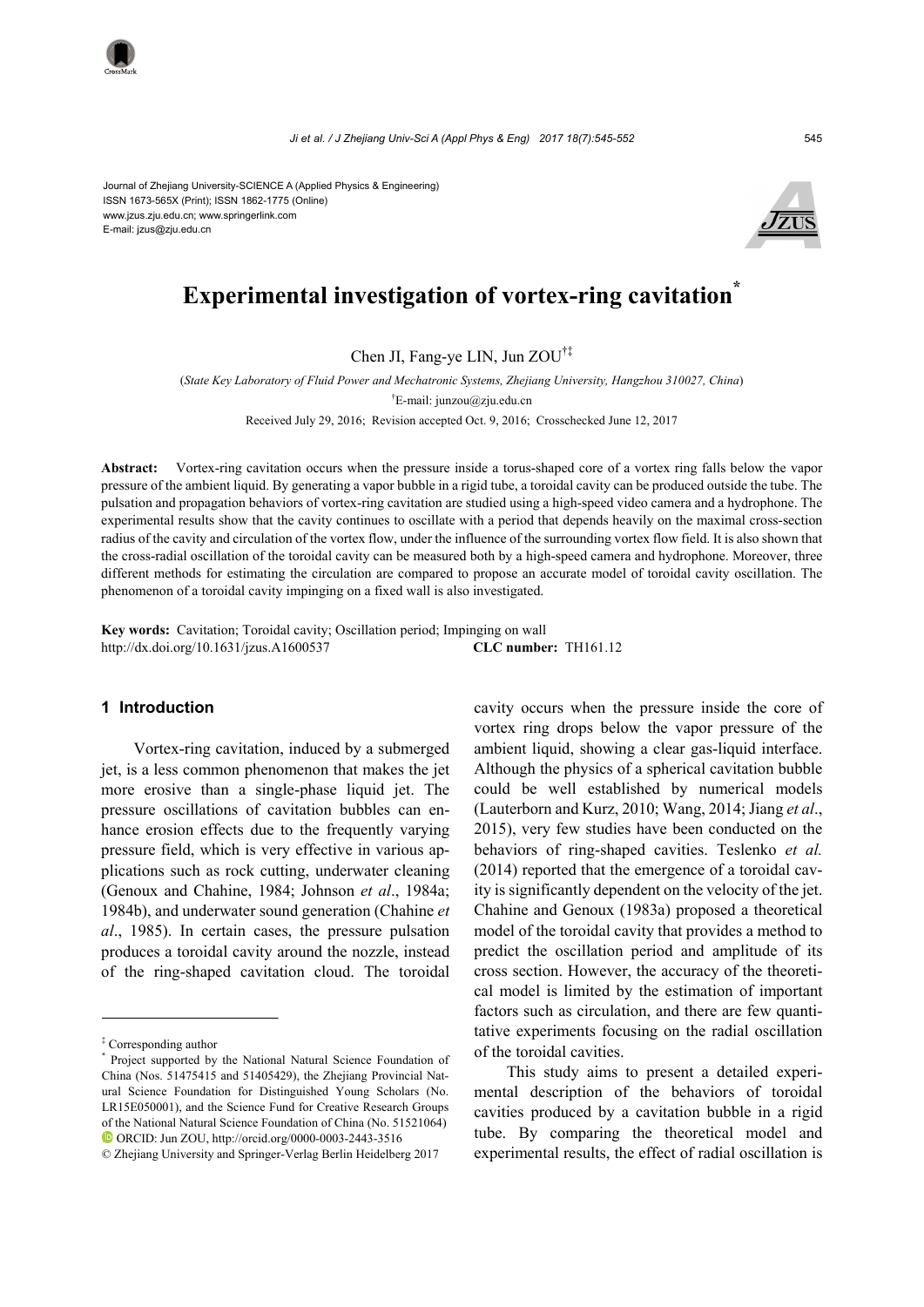*Ji et al. / J Zhejiang Univ-Sci A (Appl Phys & Eng) 2017 18(7):545-552* 545

Journal of Zhejiang University-SCIENCE A (Applied Physics & Engineering) ISSN 1673-565X (Print); ISSN 1862-1775 (Online) www.jzus.zju.edu.cn; www.springerlink.com E-mail: jzus@zju.edu.cn



# **Experimental investigation of vortex-ring cavitation\***

Chen JI, Fang-ye LIN, Jun ZOU†‡

(*State Key Laboratory of Fluid Power and Mechatronic Systems, Zhejiang University, Hangzhou 310027, China*) † E-mail: junzou@zju.edu.cn Received July 29, 2016; Revision accepted Oct. 9, 2016; Crosschecked June 12, 2017

**Abstract:** Vortex-ring cavitation occurs when the pressure inside a torus-shaped core of a vortex ring falls below the vapor pressure of the ambient liquid. By generating a vapor bubble in a rigid tube, a toroidal cavity can be produced outside the tube. The pulsation and propagation behaviors of vortex-ring cavitation are studied using a high-speed video camera and a hydrophone. The experimental results show that the cavity continues to oscillate with a period that depends heavily on the maximal cross-section radius of the cavity and circulation of the vortex flow, under the influence of the surrounding vortex flow field. It is also shown that the cross-radial oscillation of the toroidal cavity can be measured both by a high-speed camera and hydrophone. Moreover, three different methods for estimating the circulation are compared to propose an accurate model of toroidal cavity oscillation. The phenomenon of a toroidal cavity impinging on a fixed wall is also investigated.

**Key words:** Cavitation; Toroidal cavity; Oscillation period; Impinging on wall http://dx.doi.org/10.1631/jzus.A1600537 **CLC number:** TH161.12

# **1 Introduction**

Vortex-ring cavitation, induced by a submerged jet, is a less common phenomenon that makes the jet more erosive than a single-phase liquid jet. The pressure oscillations of cavitation bubbles can enhance erosion effects due to the frequently varying pressure field, which is very effective in various applications such as rock cutting, underwater cleaning (Genoux and Chahine, 1984; Johnson *et al*., 1984a; 1984b), and underwater sound generation (Chahine *et al*., 1985). In certain cases, the pressure pulsation produces a toroidal cavity around the nozzle, instead of the ring-shaped cavitation cloud. The toroidal cavity occurs when the pressure inside the core of vortex ring drops below the vapor pressure of the ambient liquid, showing a clear gas-liquid interface. Although the physics of a spherical cavitation bubble could be well established by numerical models (Lauterborn and Kurz, 2010; Wang, 2014; Jiang *et al*., 2015), very few studies have been conducted on the behaviors of ring-shaped cavities. Teslenko *et al.* (2014) reported that the emergence of a toroidal cavity is significantly dependent on the velocity of the jet. Chahine and Genoux (1983a) proposed a theoretical model of the toroidal cavity that provides a method to predict the oscillation period and amplitude of its cross section. However, the accuracy of the theoretical model is limited by the estimation of important factors such as circulation, and there are few quantitative experiments focusing on the radial oscillation of the toroidal cavities.

This study aims to present a detailed experimental description of the behaviors of toroidal cavities produced by a cavitation bubble in a rigid tube. By comparing the theoretical model and experimental results, the effect of radial oscillation is

<sup>‡</sup> Corresponding author

<sup>\*</sup> Project supported by the National Natural Science Foundation of China (Nos. 51475415 and 51405429), the Zhejiang Provincial Natural Science Foundation for Distinguished Young Scholars (No. LR15E050001), and the Science Fund for Creative Research Groups of the National Natural Science Foundation of China (No. 51521064) ORCID: Jun ZOU, http://orcid.org/0000-0003-2443-3516

<sup>©</sup> Zhejiang University and Springer-Verlag Berlin Heidelberg 2017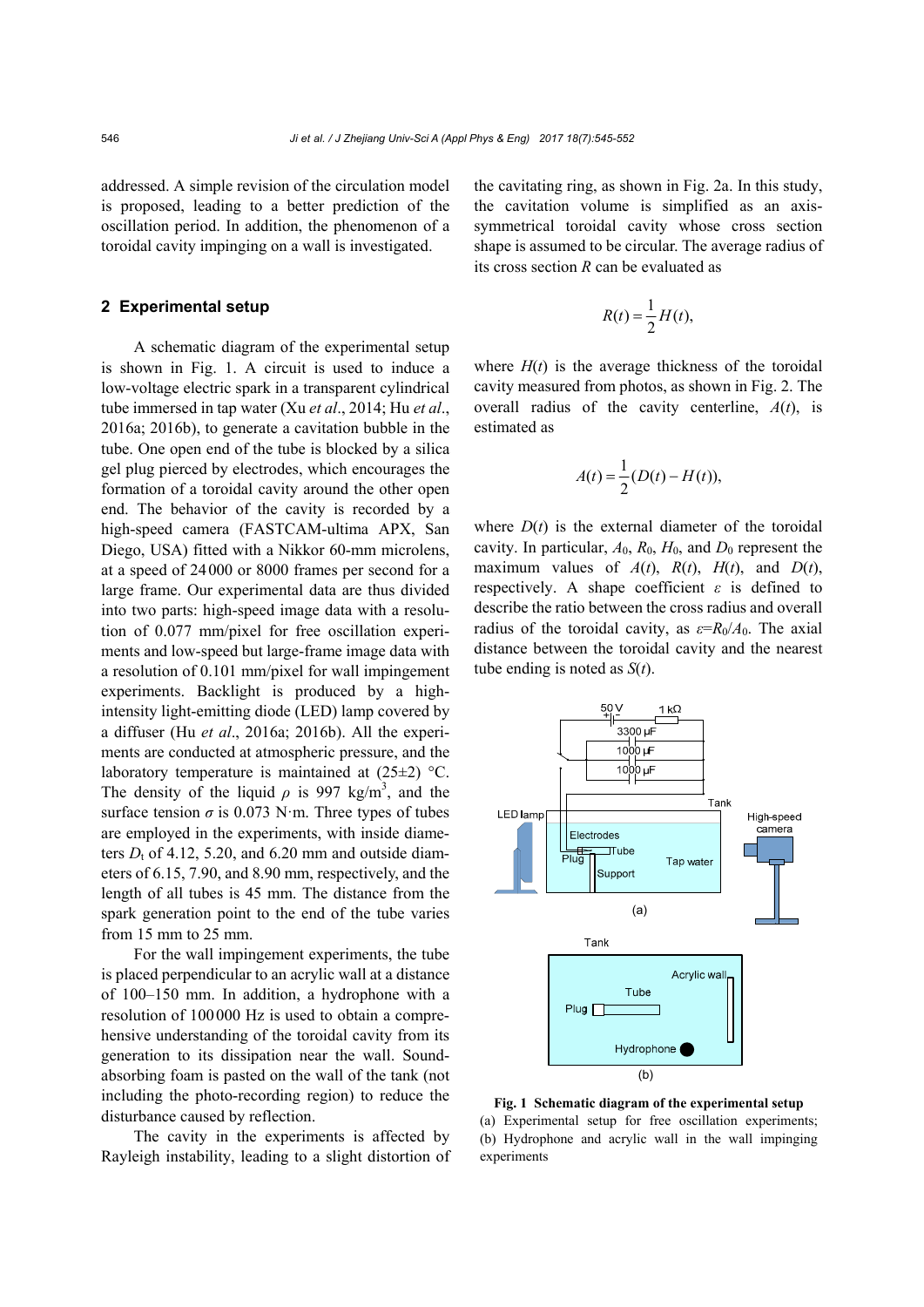addressed. A simple revision of the circulation model is proposed, leading to a better prediction of the oscillation period. In addition, the phenomenon of a toroidal cavity impinging on a wall is investigated.

# **2 Experimental setup**

A schematic diagram of the experimental setup is shown in Fig. 1. A circuit is used to induce a low-voltage electric spark in a transparent cylindrical tube immersed in tap water (Xu *et al*., 2014; Hu *et al*., 2016a; 2016b), to generate a cavitation bubble in the tube. One open end of the tube is blocked by a silica gel plug pierced by electrodes, which encourages the formation of a toroidal cavity around the other open end. The behavior of the cavity is recorded by a high-speed camera (FASTCAM-ultima APX, San Diego, USA) fitted with a Nikkor 60-mm microlens, at a speed of 24000 or 8000 frames per second for a large frame. Our experimental data are thus divided into two parts: high-speed image data with a resolution of 0.077 mm/pixel for free oscillation experiments and low-speed but large-frame image data with a resolution of 0.101 mm/pixel for wall impingement experiments. Backlight is produced by a highintensity light-emitting diode (LED) lamp covered by a diffuser (Hu *et al*., 2016a; 2016b). All the experiments are conducted at atmospheric pressure, and the laboratory temperature is maintained at  $(25\pm2)$  °C. The density of the liquid  $\rho$  is 997 kg/m<sup>3</sup>, and the surface tension  $\sigma$  is 0.073 N·m. Three types of tubes are employed in the experiments, with inside diameters  $D_t$  of 4.12, 5.20, and 6.20 mm and outside diameters of 6.15, 7.90, and 8.90 mm, respectively, and the length of all tubes is 45 mm. The distance from the spark generation point to the end of the tube varies from 15 mm to 25 mm.

For the wall impingement experiments, the tube is placed perpendicular to an acrylic wall at a distance of 100–150 mm. In addition, a hydrophone with a resolution of 100000 Hz is used to obtain a comprehensive understanding of the toroidal cavity from its generation to its dissipation near the wall. Soundabsorbing foam is pasted on the wall of the tank (not including the photo-recording region) to reduce the disturbance caused by reflection.

The cavity in the experiments is affected by Rayleigh instability, leading to a slight distortion of the cavitating ring, as shown in Fig. 2a. In this study, the cavitation volume is simplified as an axissymmetrical toroidal cavity whose cross section shape is assumed to be circular. The average radius of its cross section *R* can be evaluated as

$$
R(t) = \frac{1}{2}H(t),
$$

where  $H(t)$  is the average thickness of the toroidal cavity measured from photos, as shown in Fig. 2. The overall radius of the cavity centerline, *A*(*t*), is estimated as

$$
A(t) = \frac{1}{2}(D(t) - H(t)),
$$

where  $D(t)$  is the external diameter of the toroidal cavity. In particular,  $A_0$ ,  $R_0$ ,  $H_0$ , and  $D_0$  represent the maximum values of  $A(t)$ ,  $R(t)$ ,  $H(t)$ , and  $D(t)$ , respectively. A shape coefficient *ε* is defined to describe the ratio between the cross radius and overall radius of the toroidal cavity, as  $\varepsilon = R_0/A_0$ . The axial distance between the toroidal cavity and the nearest tube ending is noted as *S*(*t*).



**Fig. 1 Schematic diagram of the experimental setup** (a) Experimental setup for free oscillation experiments; (b) Hydrophone and acrylic wall in the wall impinging experiments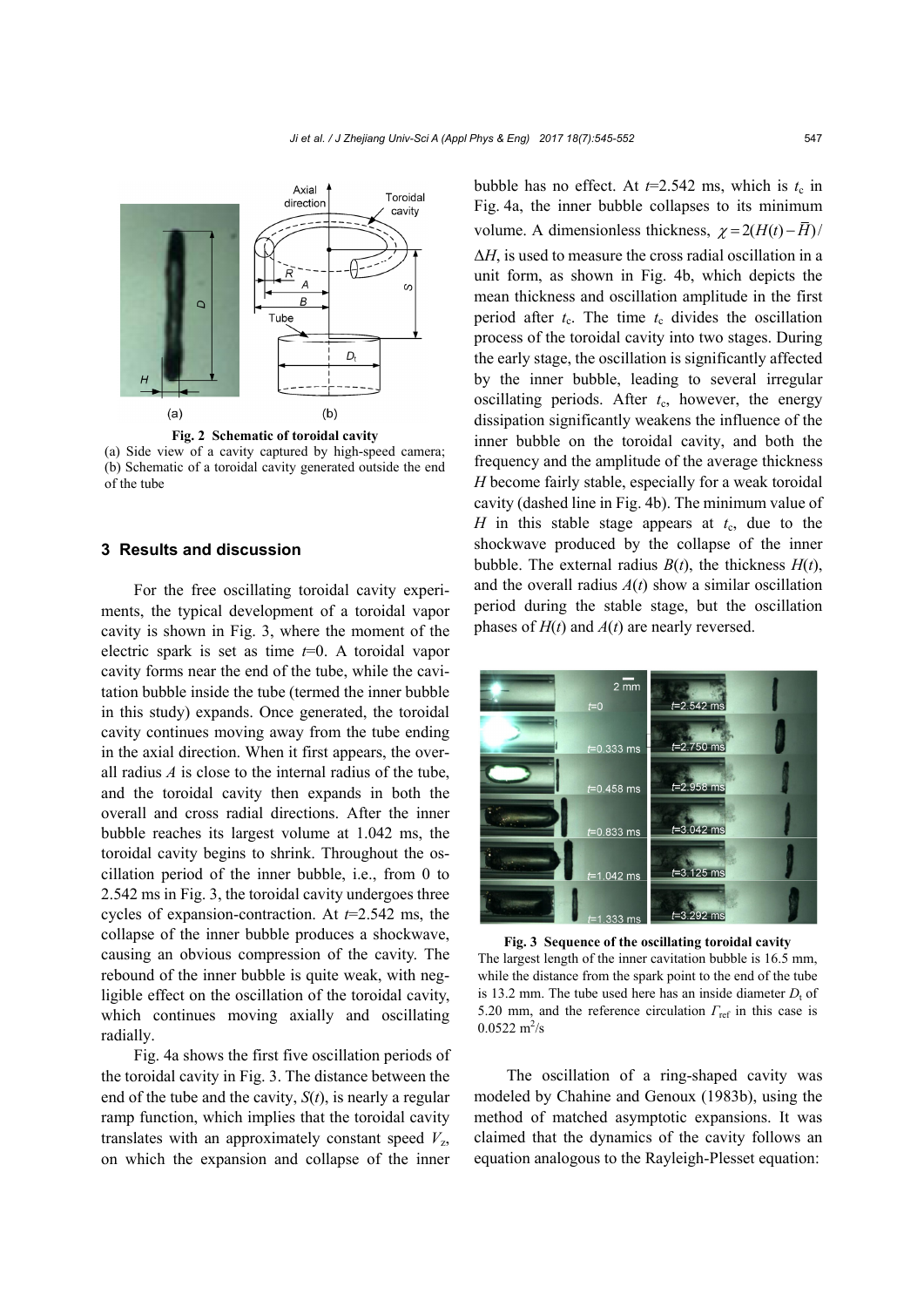

(a) Side view of a cavity captured by high-speed camera; (b) Schematic of a toroidal cavity generated outside the end of the tube

## **3 Results and discussion**

For the free oscillating toroidal cavity experiments, the typical development of a toroidal vapor cavity is shown in Fig. 3, where the moment of the electric spark is set as time *t*=0. A toroidal vapor cavity forms near the end of the tube, while the cavitation bubble inside the tube (termed the inner bubble in this study) expands. Once generated, the toroidal cavity continues moving away from the tube ending in the axial direction. When it first appears, the overall radius *A* is close to the internal radius of the tube, and the toroidal cavity then expands in both the overall and cross radial directions. After the inner bubble reaches its largest volume at 1.042 ms, the toroidal cavity begins to shrink. Throughout the oscillation period of the inner bubble, i.e., from 0 to 2.542 ms in Fig. 3, the toroidal cavity undergoes three cycles of expansion-contraction. At *t*=2.542 ms, the collapse of the inner bubble produces a shockwave, causing an obvious compression of the cavity. The rebound of the inner bubble is quite weak, with negligible effect on the oscillation of the toroidal cavity, which continues moving axially and oscillating radially.

Fig. 4a shows the first five oscillation periods of the toroidal cavity in Fig. 3. The distance between the end of the tube and the cavity, *S*(*t*), is nearly a regular ramp function, which implies that the toroidal cavity translates with an approximately constant speed  $V_z$ , on which the expansion and collapse of the inner

bubble has no effect. At  $t=2.542$  ms, which is  $t_c$  in Fig. 4a, the inner bubble collapses to its minimum volume. A dimensionless thickness,  $\gamma = 2(H(t) - \bar{H})/$ Δ*H*, is used to measure the cross radial oscillation in a unit form, as shown in Fig. 4b, which depicts the mean thickness and oscillation amplitude in the first period after  $t_c$ . The time  $t_c$  divides the oscillation process of the toroidal cavity into two stages. During the early stage, the oscillation is significantly affected by the inner bubble, leading to several irregular oscillating periods. After  $t_c$ , however, the energy dissipation significantly weakens the influence of the inner bubble on the toroidal cavity, and both the frequency and the amplitude of the average thickness *H* become fairly stable, especially for a weak toroidal cavity (dashed line in Fig. 4b). The minimum value of *H* in this stable stage appears at  $t_c$ , due to the shockwave produced by the collapse of the inner bubble. The external radius  $B(t)$ , the thickness  $H(t)$ , and the overall radius  $A(t)$  show a similar oscillation period during the stable stage, but the oscillation phases of *H*(*t*) and *A*(*t*) are nearly reversed.



**Fig. 3 Sequence of the oscillating toroidal cavity**  The largest length of the inner cavitation bubble is 16.5 mm, while the distance from the spark point to the end of the tube is 13.2 mm. The tube used here has an inside diameter  $D<sub>t</sub>$  of 5.20 mm, and the reference circulation *Γ*ref in this case is  $0.0522 \text{ m}^2/\text{s}$ 

The oscillation of a ring-shaped cavity was modeled by Chahine and Genoux (1983b), using the method of matched asymptotic expansions. It was claimed that the dynamics of the cavity follows an equation analogous to the Rayleigh-Plesset equation: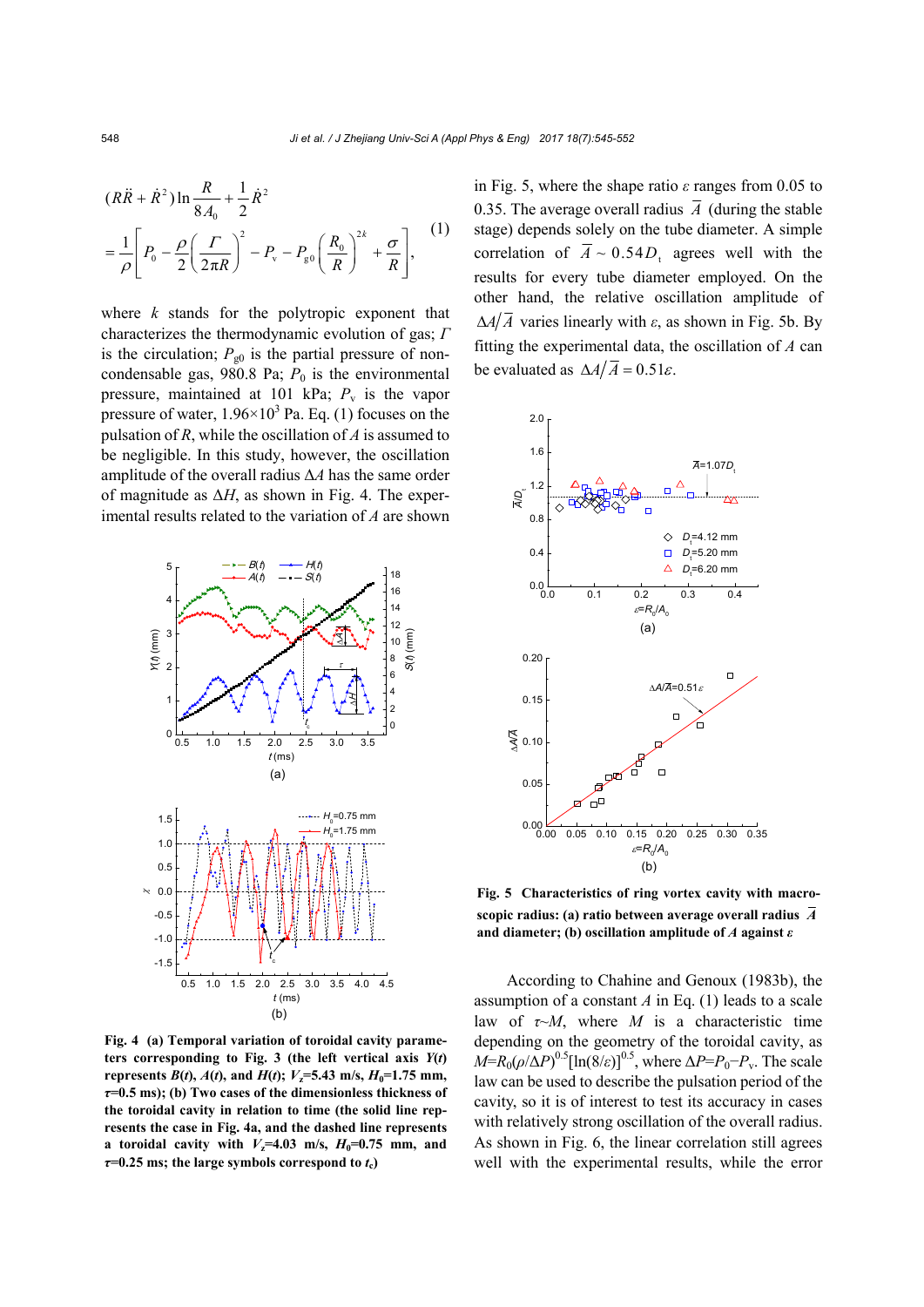$$
(R\ddot{R} + \dot{R}^{2}) \ln \frac{R}{8A_{0}} + \frac{1}{2} \dot{R}^{2}
$$
  
=  $\frac{1}{\rho} \left[ P_{0} - \frac{\rho}{2} \left( \frac{\Gamma}{2\pi R} \right)^{2} - P_{v} - P_{g0} \left( \frac{R_{0}}{R} \right)^{2k} + \frac{\sigma}{R} \right],$  (1)

where *k* stands for the polytropic exponent that characterizes the thermodynamic evolution of gas; *Γ* is the circulation;  $P_{g0}$  is the partial pressure of noncondensable gas,  $980.8$  Pa;  $P_0$  is the environmental pressure, maintained at 101 kPa;  $P_v$  is the vapor pressure of water,  $1.96 \times 10^3$  Pa. Eq. (1) focuses on the pulsation of *R*, while the oscillation of *A* is assumed to be negligible. In this study, however, the oscillation amplitude of the overall radius Δ*A* has the same order of magnitude as  $\Delta H$ , as shown in Fig. 4. The experimental results related to the variation of *A* are shown



**Fig. 4 (a) Temporal variation of toroidal cavity parame**ters corresponding to Fig. 3 (the left vertical axis  $Y(t)$ **represents**  $B(t)$ ,  $A(t)$ , and  $H(t)$ ;  $V_z = 5.43$  m/s,  $H_0 = 1.75$  mm, *τ***=0.5 ms); (b) Two cases of the dimensionless thickness of the toroidal cavity in relation to time (the solid line represents the case in Fig. 4a, and the dashed line represents a** toroidal cavity with  $V_z=4.03$  m/s,  $H_0=0.75$  mm, and  $\tau$ =0.25 ms; the large symbols correspond to  $t_c$ )

in Fig. 5, where the shape ratio *ε* ranges from 0.05 to 0.35. The average overall radius  $\overline{A}$  (during the stable stage) depends solely on the tube diameter. A simple correlation of  $\overline{A} \sim 0.54D_t$  agrees well with the results for every tube diameter employed. On the other hand, the relative oscillation amplitude of  $\Delta A/\overline{A}$  varies linearly with *ε*, as shown in Fig. 5b. By fitting the experimental data, the oscillation of *A* can be evaluated as  $\Delta A/\overline{A} = 0.51\varepsilon$ .



**Fig. 5 Characteristics of ring vortex cavity with macroscopic radius: (a) ratio between average overall radius** *A* **and diameter; (b) oscillation amplitude of** *A* **against** *ε*

According to Chahine and Genoux (1983b), the assumption of a constant *A* in Eq. (1) leads to a scale law of  $\tau \sim M$ , where *M* is a characteristic time depending on the geometry of the toroidal cavity, as *M*=*R*<sub>0</sub>( $\rho$ /Δ*P*)<sup>0.5</sup>[ln(8/*ε*)]<sup>0.5</sup>, where Δ*P*=*P*<sub>0</sub>−*P*<sub>v</sub>. The scale law can be used to describe the pulsation period of the cavity, so it is of interest to test its accuracy in cases with relatively strong oscillation of the overall radius. As shown in Fig. 6, the linear correlation still agrees well with the experimental results, while the error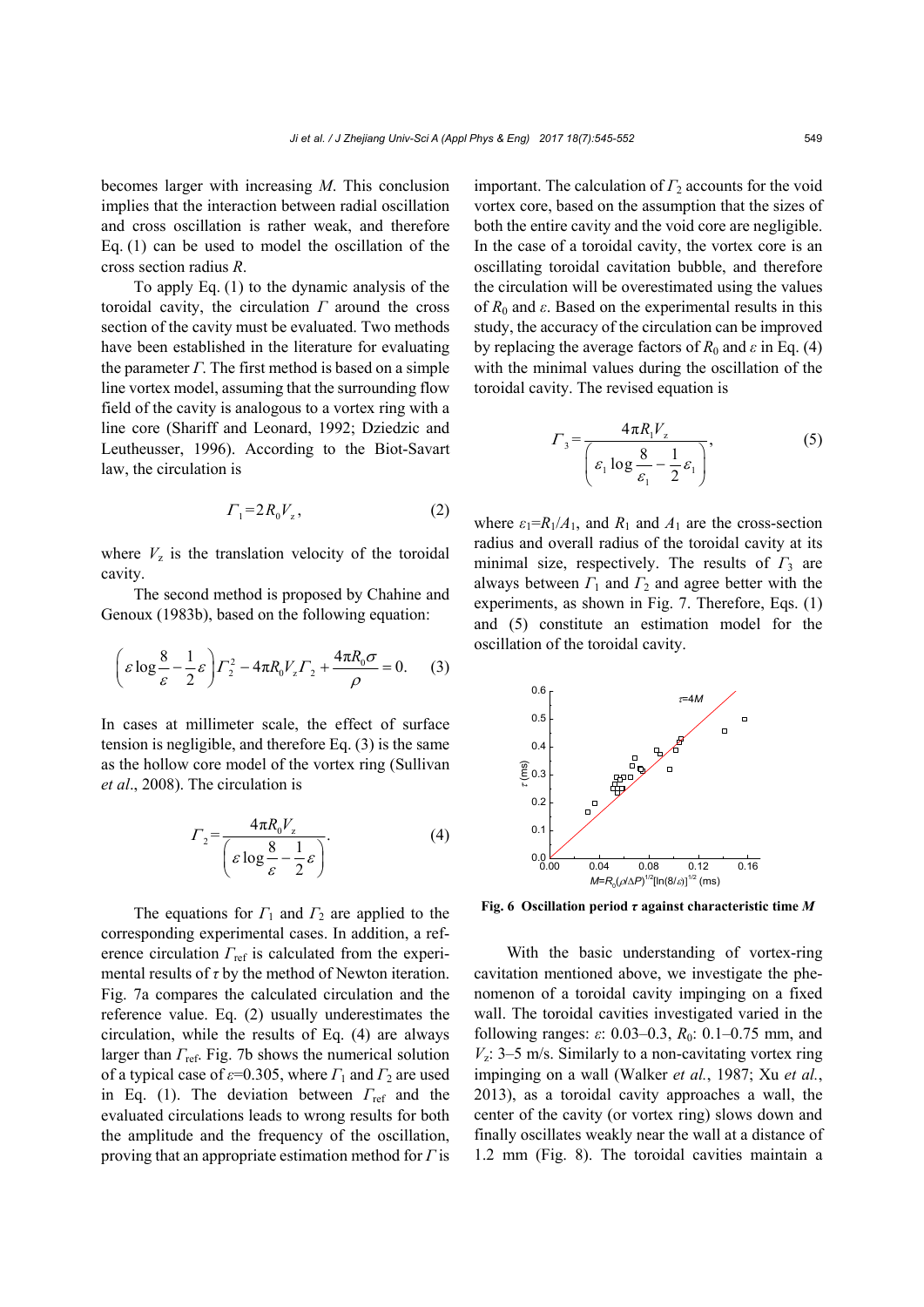becomes larger with increasing *M*. This conclusion implies that the interaction between radial oscillation and cross oscillation is rather weak, and therefore Eq. (1) can be used to model the oscillation of the cross section radius *R*.

To apply Eq. (1) to the dynamic analysis of the toroidal cavity, the circulation *Γ* around the cross section of the cavity must be evaluated. Two methods have been established in the literature for evaluating the parameter *Γ*. The first method is based on a simple line vortex model, assuming that the surrounding flow field of the cavity is analogous to a vortex ring with a line core (Shariff and Leonard, 1992; Dziedzic and Leutheusser, 1996). According to the Biot-Savart law, the circulation is

$$
\Gamma_1 = 2R_0 V_z,\tag{2}
$$

where  $V<sub>z</sub>$  is the translation velocity of the toroidal cavity.

The second method is proposed by Chahine and Genoux (1983b), based on the following equation:

$$
\left(\varepsilon \log \frac{8}{\varepsilon} - \frac{1}{2}\varepsilon\right) \Gamma_2^2 - 4\pi R_0 V_z \Gamma_2 + \frac{4\pi R_0 \sigma}{\rho} = 0. \tag{3}
$$

In cases at millimeter scale, the effect of surface tension is negligible, and therefore Eq. (3) is the same as the hollow core model of the vortex ring (Sullivan *et al*., 2008). The circulation is

$$
\Gamma_2 = \frac{4\pi R_0 V_z}{\left(\varepsilon \log \frac{8}{\varepsilon} - \frac{1}{2}\varepsilon\right)}.
$$
\n(4)

The equations for *Γ*1 and *Γ*2 are applied to the corresponding experimental cases. In addition, a reference circulation *Γ*ref is calculated from the experimental results of *τ* by the method of Newton iteration. Fig. 7a compares the calculated circulation and the reference value. Eq. (2) usually underestimates the circulation, while the results of Eq. (4) are always larger than *Γ*ref. Fig. 7b shows the numerical solution of a typical case of *ε*=0.305, where *Γ*1 and *Γ*2 are used in Eq. (1). The deviation between *Γ*ref and the evaluated circulations leads to wrong results for both the amplitude and the frequency of the oscillation, proving that an appropriate estimation method for *Γ* is important. The calculation of  $\Gamma_2$  accounts for the void vortex core, based on the assumption that the sizes of both the entire cavity and the void core are negligible. In the case of a toroidal cavity, the vortex core is an oscillating toroidal cavitation bubble, and therefore the circulation will be overestimated using the values of  $R_0$  and  $\varepsilon$ . Based on the experimental results in this study, the accuracy of the circulation can be improved by replacing the average factors of  $R_0$  and  $\varepsilon$  in Eq. (4) with the minimal values during the oscillation of the toroidal cavity. The revised equation is

$$
\Gamma_3 = \frac{4\pi R_1 V_z}{\left(\varepsilon_1 \log \frac{8}{\varepsilon_1} - \frac{1}{2} \varepsilon_1\right)},
$$
\n(5)

where  $\varepsilon_1 = R_1/A_1$ , and  $R_1$  and  $A_1$  are the cross-section radius and overall radius of the toroidal cavity at its minimal size, respectively. The results of  $\Gamma_3$  are always between *Γ*1 and *Γ*2 and agree better with the experiments, as shown in Fig. 7. Therefore, Eqs. (1) and (5) constitute an estimation model for the oscillation of the toroidal cavity.



**Fig. 6 Oscillation period** *τ* **against characteristic time** *M*

With the basic understanding of vortex-ring cavitation mentioned above, we investigate the phenomenon of a toroidal cavity impinging on a fixed wall. The toroidal cavities investigated varied in the following ranges: *ε*: 0.03–0.3, *R*0: 0.1–0.75 mm, and  $V_z$ : 3–5 m/s. Similarly to a non-cavitating vortex ring impinging on a wall (Walker *et al.*, 1987; Xu *et al.*, 2013), as a toroidal cavity approaches a wall, the center of the cavity (or vortex ring) slows down and finally oscillates weakly near the wall at a distance of 1.2 mm (Fig. 8). The toroidal cavities maintain a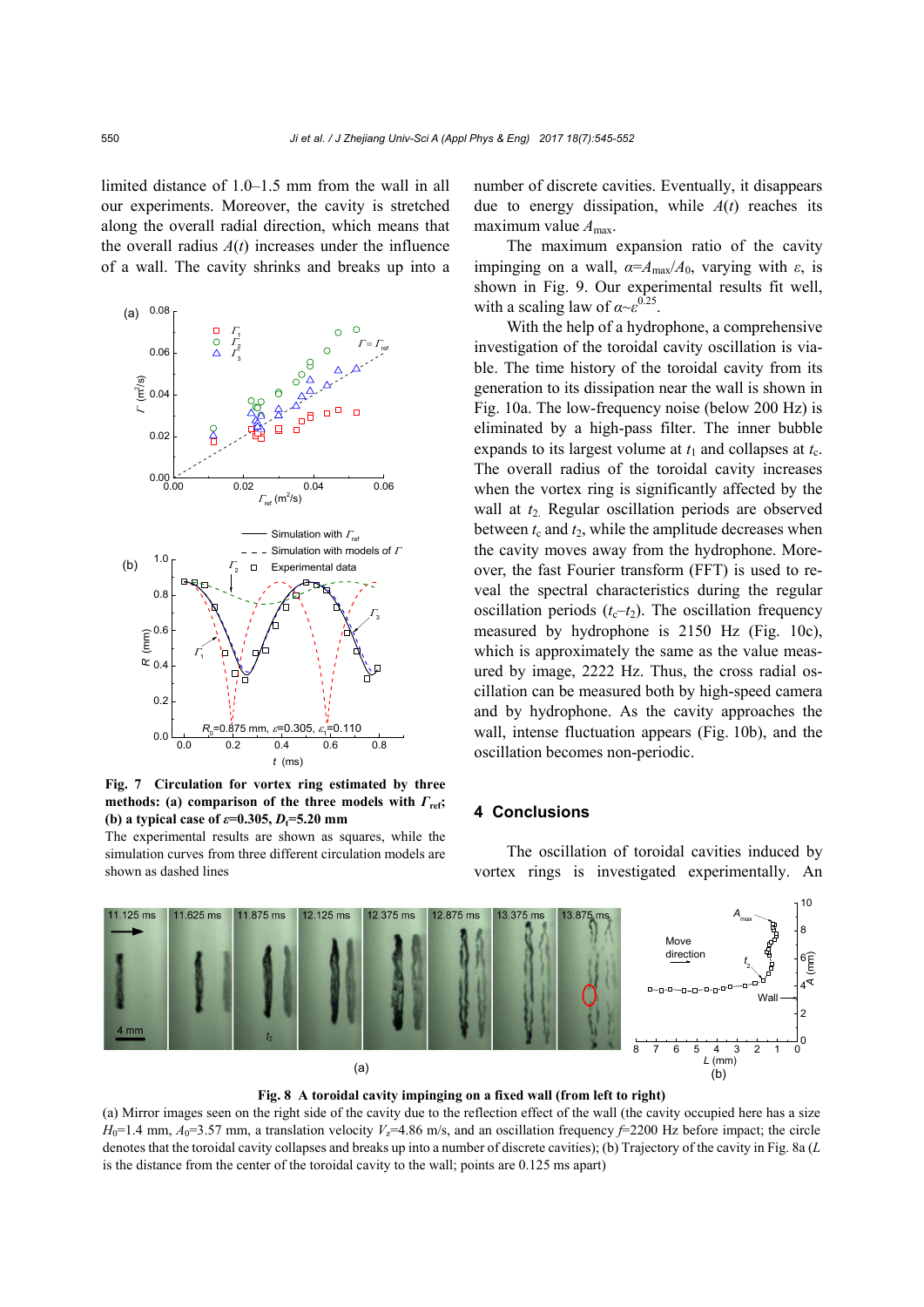limited distance of 1.0–1.5 mm from the wall in all our experiments. Moreover, the cavity is stretched along the overall radial direction, which means that the overall radius  $A(t)$  increases under the influence of a wall. The cavity shrinks and breaks up into a



**Fig. 7 Circulation for vortex ring estimated by three methods:** (a) comparison of the three models with  $\Gamma$ <sub>ref</sub>; **(b) a typical case of**  $\varepsilon = 0.305$ **,**  $D_t = 5.20$  **mm** 

The experimental results are shown as squares, while the simulation curves from three different circulation models are shown as dashed lines

number of discrete cavities. Eventually, it disappears due to energy dissipation, while *A*(*t*) reaches its maximum value  $A_{\text{max}}$ .

The maximum expansion ratio of the cavity impinging on a wall,  $\alpha = A_{\text{max}}/A_0$ , varying with  $\varepsilon$ , is shown in Fig. 9. Our experimental results fit well, with a scaling law of  $\alpha \sim \varepsilon^{0.25}$ .

With the help of a hydrophone, a comprehensive investigation of the toroidal cavity oscillation is viable. The time history of the toroidal cavity from its generation to its dissipation near the wall is shown in Fig. 10a. The low-frequency noise (below 200 Hz) is eliminated by a high-pass filter. The inner bubble expands to its largest volume at  $t_1$  and collapses at  $t_c$ . The overall radius of the toroidal cavity increases when the vortex ring is significantly affected by the wall at  $t_2$ . Regular oscillation periods are observed between  $t_c$  and  $t_2$ , while the amplitude decreases when the cavity moves away from the hydrophone. Moreover, the fast Fourier transform (FFT) is used to reveal the spectral characteristics during the regular oscillation periods  $(t_c-t_2)$ . The oscillation frequency measured by hydrophone is 2150 Hz (Fig. 10c), which is approximately the same as the value measured by image, 2222 Hz. Thus, the cross radial oscillation can be measured both by high-speed camera and by hydrophone. As the cavity approaches the wall, intense fluctuation appears (Fig. 10b), and the oscillation becomes non-periodic.

#### **4 Conclusions**

The oscillation of toroidal cavities induced by vortex rings is investigated experimentally. An

![](_page_5_Figure_10.jpeg)

**Fig. 8 A toroidal cavity impinging on a fixed wall (from left to right)** 

(a) Mirror images seen on the right side of the cavity due to the reflection effect of the wall (the cavity occupied here has a size  $H_0$ =1.4 mm,  $A_0$ =3.57 mm, a translation velocity  $V_z$ =4.86 m/s, and an oscillation frequency  $\neq$ 2200 Hz before impact; the circle denotes that the toroidal cavity collapses and breaks up into a number of discrete cavities); (b) Trajectory of the cavity in Fig. 8a (*L* is the distance from the center of the toroidal cavity to the wall; points are 0.125 ms apart)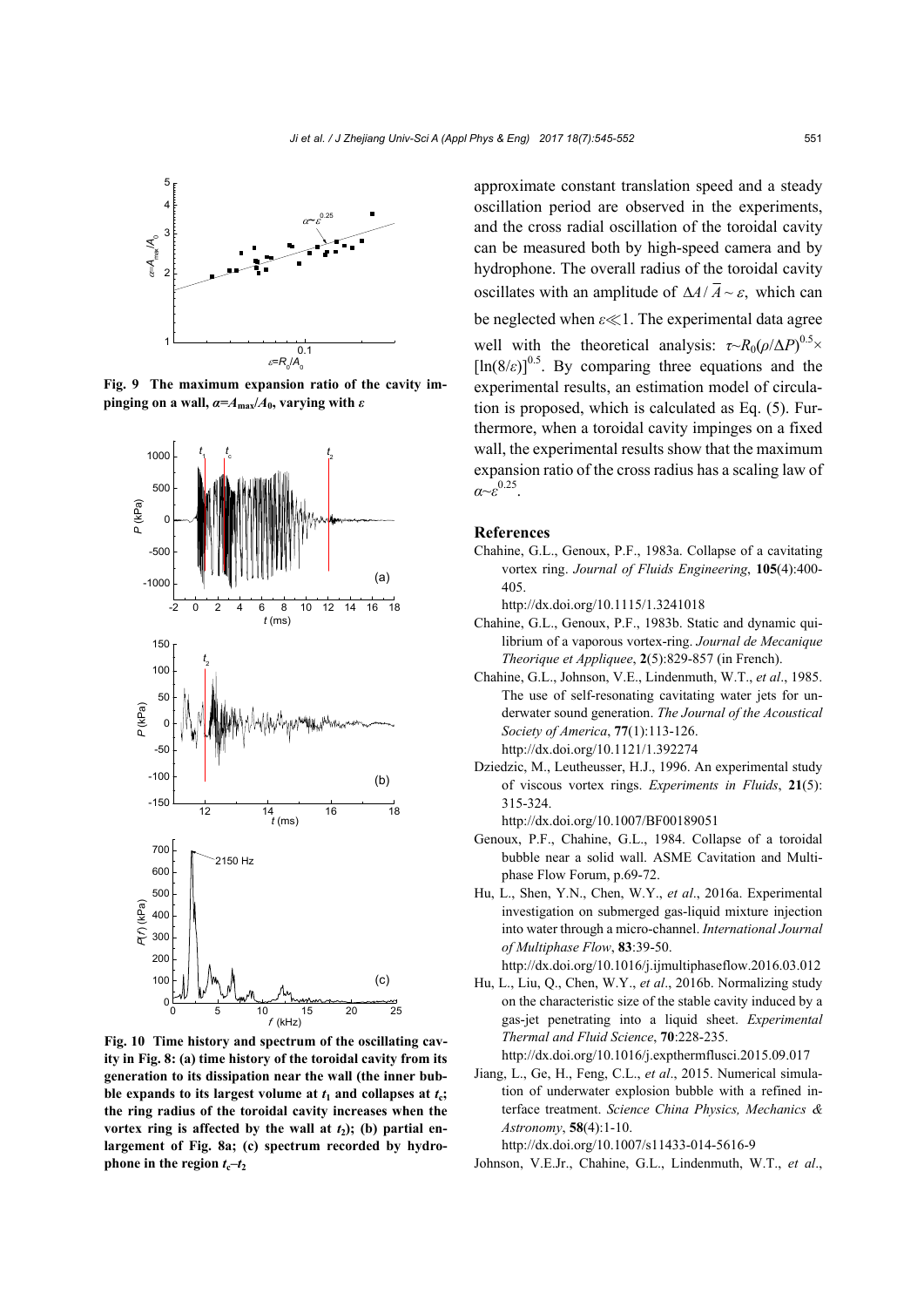![](_page_6_Figure_1.jpeg)

**Fig. 9 The maximum expansion ratio of the cavity impinging on a wall,**  $\alpha = A_{\text{max}}/A_0$ **, varying with**  $\varepsilon$ 

![](_page_6_Figure_3.jpeg)

**Fig. 10 Time history and spectrum of the oscillating cavity in Fig. 8: (a) time history of the toroidal cavity from its generation to its dissipation near the wall (the inner bub**ble expands to its largest volume at  $t_1$  and collapses at  $t_c$ ; **the ring radius of the toroidal cavity increases when the**  vortex ring is affected by the wall at  $t_2$ ); (b) partial en**largement of Fig. 8a; (c) spectrum recorded by hydrophone in the region**  $t_c-t_2$ 

approximate constant translation speed and a steady oscillation period are observed in the experiments, and the cross radial oscillation of the toroidal cavity can be measured both by high-speed camera and by hydrophone. The overall radius of the toroidal cavity oscillates with an amplitude of  $\Delta A/\overline{A} \sim \varepsilon$ , which can be neglected when *ε* < 1. The experimental data agree well with the theoretical analysis:  $\tau \sim R_0(\rho/\Delta P)^{0.5} \times$  $[\ln(8/\epsilon)]^{0.5}$ . By comparing three equations and the experimental results, an estimation model of circulation is proposed, which is calculated as Eq. (5). Furthermore, when a toroidal cavity impinges on a fixed wall, the experimental results show that the maximum expansion ratio of the cross radius has a scaling law of *α*~*ε* 0.25.

#### **References**

Chahine, G.L., Genoux, P.F., 1983a. Collapse of a cavitating vortex ring. *Journal of Fluids Engineering*, **105**(4):400- 405.

http://dx.doi.org/10.1115/1.3241018

- Chahine, G.L., Genoux, P.F., 1983b. Static and dynamic quilibrium of a vaporous vortex-ring. *Journal de Mecanique Theorique et Appliquee*, **2**(5):829-857 (in French).
- Chahine, G.L., Johnson, V.E., Lindenmuth, W.T., *et al*., 1985. The use of self-resonating cavitating water jets for underwater sound generation. *The Journal of the Acoustical Society of America*, **77**(1):113-126. http://dx.doi.org/10.1121/1.392274
- Dziedzic, M., Leutheusser, H.J., 1996. An experimental study of viscous vortex rings. *Experiments in Fluids*, **21**(5): 315-324.

http://dx.doi.org/10.1007/BF00189051

- Genoux, P.F., Chahine, G.L., 1984. Collapse of a toroidal bubble near a solid wall. ASME Cavitation and Multiphase Flow Forum, p.69-72.
- Hu, L., Shen, Y.N., Chen, W.Y., *et al*., 2016a. Experimental investigation on submerged gas-liquid mixture injection into water through a micro-channel. *International Journal of Multiphase Flow*, **83**:39-50.

http://dx.doi.org/10.1016/j.ijmultiphaseflow.2016.03.012

Hu, L., Liu, Q., Chen, W.Y., *et al*., 2016b. Normalizing study on the characteristic size of the stable cavity induced by a gas-jet penetrating into a liquid sheet. *Experimental Thermal and Fluid Science*, **70**:228-235.

http://dx.doi.org/10.1016/j.expthermflusci.2015.09.017

Jiang, L., Ge, H., Feng, C.L., *et al*., 2015. Numerical simulation of underwater explosion bubble with a refined interface treatment. *Science China Physics, Mechanics & Astronomy*, **58**(4):1-10.

http://dx.doi.org/10.1007/s11433-014-5616-9

Johnson, V.E.Jr., Chahine, G.L., Lindenmuth, W.T., *et al*.,